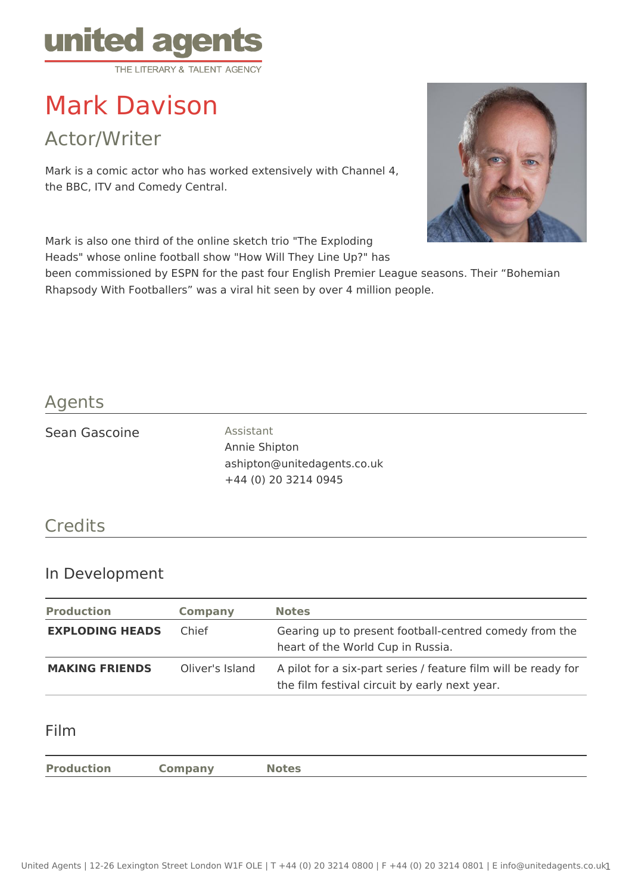

# Mark Davison

Actor/Writer

Mark is a comic actor who has worked extensively with Channel 4, the BBC, ITV and Comedy Central.

Mark is also one third of the online sketch trio "The Exploding Heads" whose online football show "How Will They Line Up?" has



been commissioned by ESPN for the past four English Premier League seasons. Their "Bohemian Rhapsody With Footballers" was a viral hit seen by over 4 million people.

## Agents

#### Sean Gascoine **Assistant**

Annie Shipton ashipton@unitedagents.co.uk +44 (0) 20 3214 0945

# **Credits**

## In Development

| <b>Production</b>      | <b>Company</b>  | <b>Notes</b>                                                                                                    |
|------------------------|-----------------|-----------------------------------------------------------------------------------------------------------------|
| <b>EXPLODING HEADS</b> | Chief           | Gearing up to present football-centred comedy from the<br>heart of the World Cup in Russia.                     |
| <b>MAKING FRIENDS</b>  | Oliver's Island | A pilot for a six-part series / feature film will be ready for<br>the film festival circuit by early next year. |

#### Film

**Production Company Notes**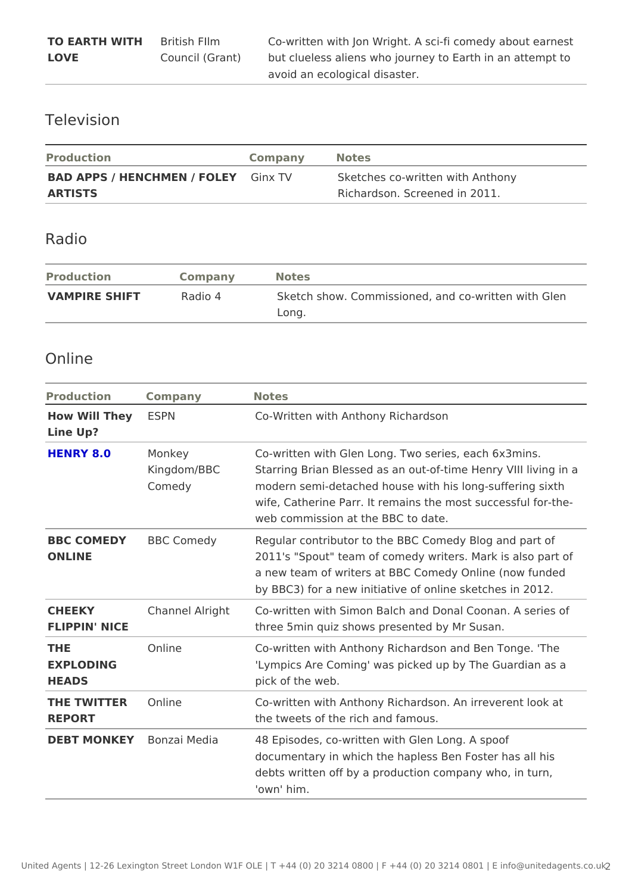### Television

| Production                       | Company Notes |                                  |
|----------------------------------|---------------|----------------------------------|
| BAD APPS / HENCHMEN / FCDiLnEYTV |               | Sketches co-written with Anthony |
| ARTISTS                          |               | Richardson, Screened in 2011.    |

## Radio

| Production            | Company | Notes    |                                                |  |  |
|-----------------------|---------|----------|------------------------------------------------|--|--|
| VAMPIRE SHIFT Radio 4 |         | $L$ ong. | Sketch show. Commissioned, and co-written will |  |  |

#### Online

| Production                         | Company                     | Notes                                                                                                                                                                                                                                                            |
|------------------------------------|-----------------------------|------------------------------------------------------------------------------------------------------------------------------------------------------------------------------------------------------------------------------------------------------------------|
| How Will The ESPN<br>Line Up?      |                             | Co-Written with Anthony Richardson                                                                                                                                                                                                                               |
| HENRY 8.0                          | Monkey<br>Comedy            | Co-written with Glen Long. Two series, each 6x3m<br>Kingdom/BBC Starring Brian Blessed as an out-of-time Henry VI<br>modern semi-detached house with his long-sufferi<br>wife, Catherine Parr. It remains the most success<br>web commission at the BBC to date. |
| ONLINE                             | <b>BBC COMEDYBBC Comedy</b> | Regular contributor to the BBC Comedy Blog and<br>2011's "Spout" team of comedy writers. Mark is al<br>a new team of writers at BBC Comedy Online (now<br>by BBC3) for a new initiative of online sketches i                                                     |
| CHEEKY<br>FLIPPIN' NICE            |                             | Channel AlrighCo-written with Simon Balch and Donal Coonan. A<br>three 5 min quiz shows presented by Mr Susan.                                                                                                                                                   |
| THE<br>EXPLODING<br>HEADS          | Online                      | Co-written with Anthony Richardson and Ben Tong<br>'Lympics Are Coming' was picked up by The Guard<br>pick of the web.                                                                                                                                           |
| THE TWITTEROnline<br><b>REPORT</b> |                             | Co-written with Anthony Richardson. An irreveren<br>the tweets of the rich and famous.                                                                                                                                                                           |
|                                    |                             | DEBT MONKEBonzai Media 48 Episodes, co-written with Glen Long. A spoof<br>documentary in which the hapless Ben Foster has<br>debts written off by a production company who, in<br>'own'him.                                                                      |